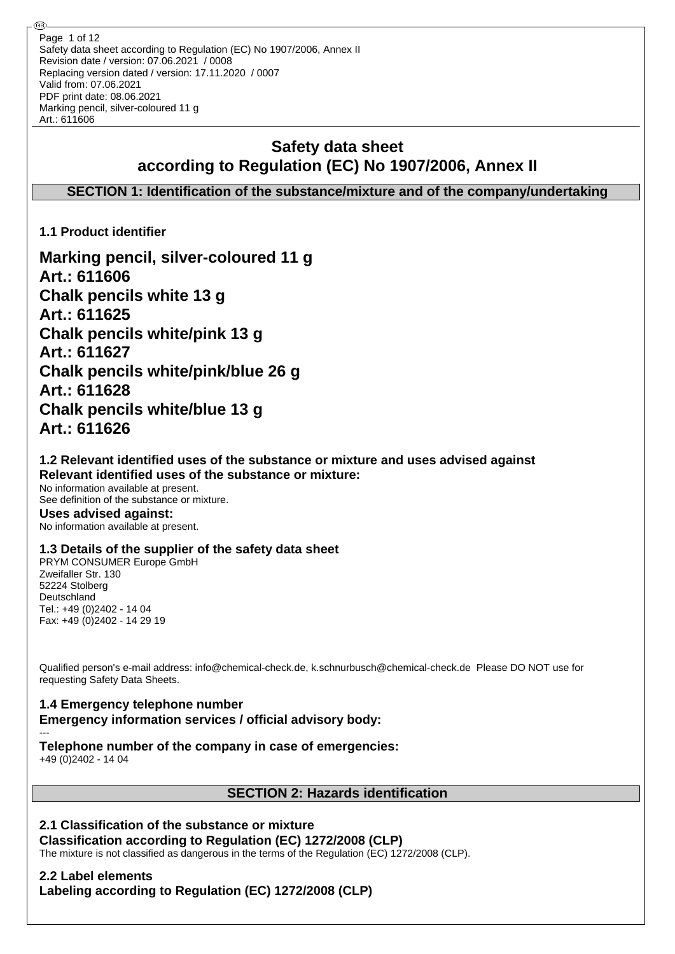Safety data sheet according to Regulation (EC) No 1907/2006, Annex II Revision date / version: 07.06.2021 / 0008 Replacing version dated / version: 17.11.2020 / 0007 Valid from: 07.06.2021 PDF print date: 08.06.2021 Marking pencil, silver-coloured 11 g Art.: 611606 Page 1 of 12

# **Safety data sheet according to Regulation (EC) No 1907/2006, Annex II**

**SECTION 1: Identification of the substance/mixture and of the company/undertaking**

**1.1 Product identifier**

**Marking pencil, silver-coloured 11 g Art.: 611606 Chalk pencils white 13 g Art.: 611625 Chalk pencils white/pink 13 g Art.: 611627 Chalk pencils white/pink/blue 26 g Art.: 611628 Chalk pencils white/blue 13 g Art.: 611626**

## **1.2 Relevant identified uses of the substance or mixture and uses advised against Relevant identified uses of the substance or mixture:**

No information available at present. See definition of the substance or mixture. **Uses advised against:** No information available at present.

## **1.3 Details of the supplier of the safety data sheet**

PRYM CONSUMER Europe GmbH Zweifaller Str. 130 52224 Stolberg Deutschland Tel.: +49 (0)2402 - 14 04 Fax: +49 (0)2402 - 14 29 19

Qualified person's e-mail address: info@chemical-check.de, k.schnurbusch@chemical-check.de Please DO NOT use for requesting Safety Data Sheets.

#### **1.4 Emergency telephone number Emergency information services / official advisory body:** ---

# **Telephone number of the company in case of emergencies:**

+49 (0)2402 - 14 04

## **SECTION 2: Hazards identification**

## **2.1 Classification of the substance or mixture**

## **Classification according to Regulation (EC) 1272/2008 (CLP)**

The mixture is not classified as dangerous in the terms of the Regulation (EC) 1272/2008 (CLP).

# **2.2 Label elements**

**Labeling according to Regulation (EC) 1272/2008 (CLP)**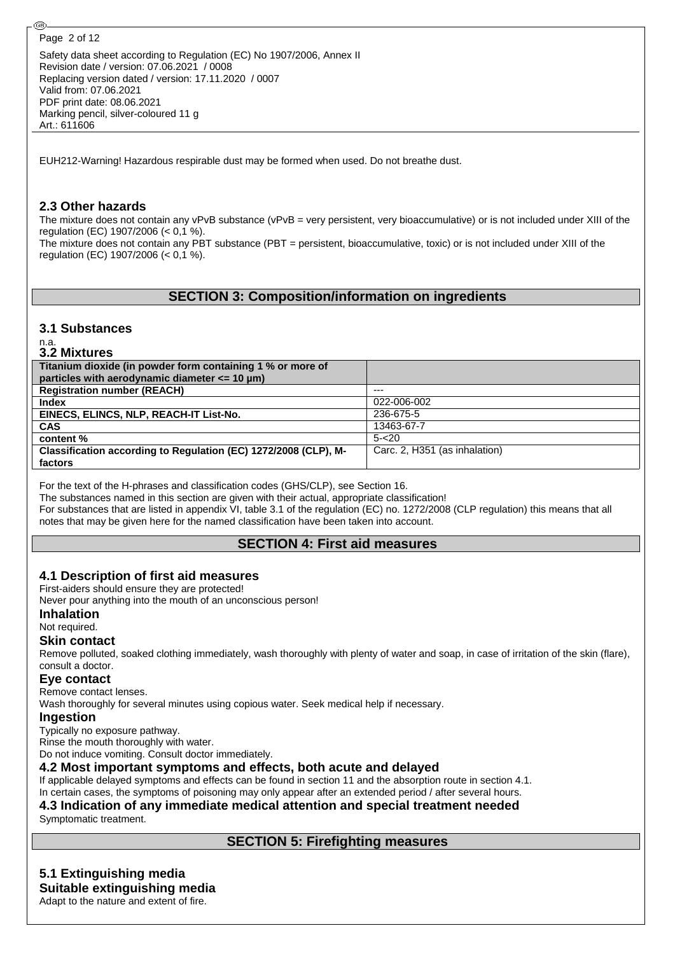@ි

Safety data sheet according to Regulation (EC) No 1907/2006, Annex II Revision date / version: 07.06.2021 / 0008 Replacing version dated / version: 17.11.2020 / 0007 Valid from: 07.06.2021 PDF print date: 08.06.2021 Marking pencil, silver-coloured 11 g Art.: 611606

EUH212-Warning! Hazardous respirable dust may be formed when used. Do not breathe dust.

### **2.3 Other hazards**

The mixture does not contain any vPvB substance (vPvB = very persistent, very bioaccumulative) or is not included under XIII of the regulation (EC) 1907/2006 (< 0,1 %). The mixture does not contain any PBT substance (PBT = persistent, bioaccumulative, toxic) or is not included under XIII of the regulation (EC) 1907/2006 (< 0,1 %).

## **SECTION 3: Composition/information on ingredients**

#### **3.1 Substances**

n.a.

| 3.2 Mixtures                                                    |                               |
|-----------------------------------------------------------------|-------------------------------|
| Titanium dioxide (in powder form containing 1 % or more of      |                               |
| particles with aerodynamic diameter $\leq$ 10 µm)               |                               |
| <b>Registration number (REACH)</b>                              | ---                           |
| <b>Index</b>                                                    | 022-006-002                   |
| EINECS, ELINCS, NLP, REACH-IT List-No.                          | 236-675-5                     |
| <b>CAS</b>                                                      | 13463-67-7                    |
| content %                                                       | $5 - 20$                      |
| Classification according to Regulation (EC) 1272/2008 (CLP), M- | Carc. 2. H351 (as inhalation) |
| factors                                                         |                               |

For the text of the H-phrases and classification codes (GHS/CLP), see Section 16.

The substances named in this section are given with their actual, appropriate classification!

For substances that are listed in appendix VI, table 3.1 of the regulation (EC) no. 1272/2008 (CLP regulation) this means that all notes that may be given here for the named classification have been taken into account.

## **SECTION 4: First aid measures**

#### **4.1 Description of first aid measures**

First-aiders should ensure they are protected!

Never pour anything into the mouth of an unconscious person!

**Inhalation**

#### Not required.

#### **Skin contact**

Remove polluted, soaked clothing immediately, wash thoroughly with plenty of water and soap, in case of irritation of the skin (flare), consult a doctor.

#### **Eye contact**

Remove contact lenses.

Wash thoroughly for several minutes using copious water. Seek medical help if necessary.

#### **Ingestion**

Typically no exposure pathway.

Rinse the mouth thoroughly with water.

Do not induce vomiting. Consult doctor immediately.

#### **4.2 Most important symptoms and effects, both acute and delayed**

If applicable delayed symptoms and effects can be found in section 11 and the absorption route in section 4.1.

## In certain cases, the symptoms of poisoning may only appear after an extended period / after several hours.

#### **4.3 Indication of any immediate medical attention and special treatment needed** Symptomatic treatment.

## **SECTION 5: Firefighting measures**

## **5.1 Extinguishing media**

**Suitable extinguishing media** Adapt to the nature and extent of fire.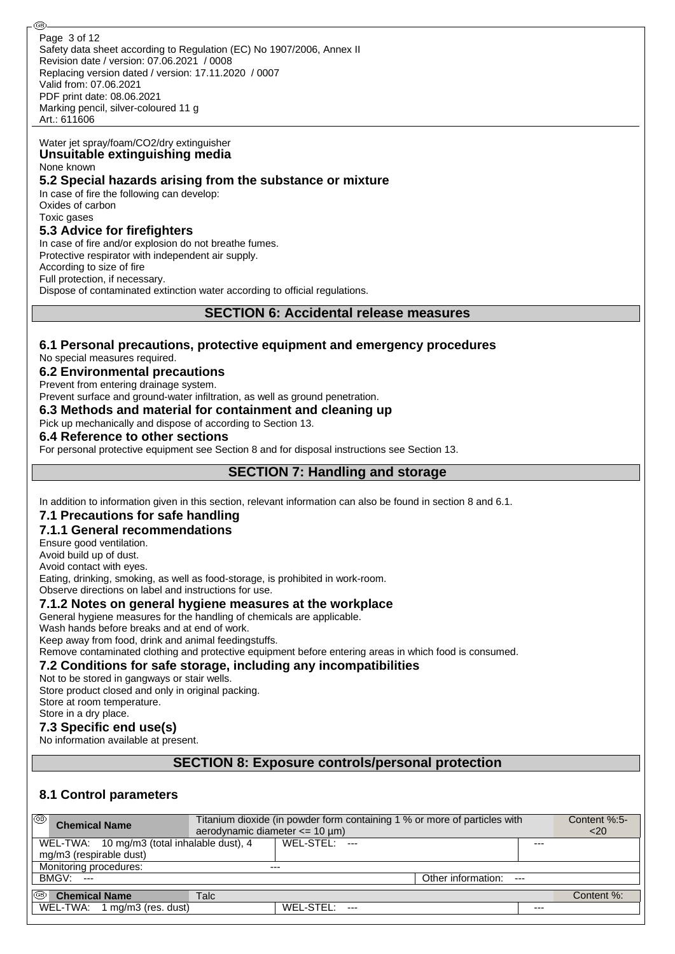Safety data sheet according to Regulation (EC) No 1907/2006, Annex II Revision date / version: 07.06.2021 / 0008 Replacing version dated / version: 17.11.2020 / 0007 Valid from: 07.06.2021 PDF print date: 08.06.2021 Marking pencil, silver-coloured 11 g Art.: 611606 Page 3 of 12

#### Water jet spray/foam/CO2/dry extinguisher **Unsuitable extinguishing media**

None known

#### **5.2 Special hazards arising from the substance or mixture**

In case of fire the following can develop: Oxides of carbon Toxic gases

### **5.3 Advice for firefighters**

In case of fire and/or explosion do not breathe fumes. Protective respirator with independent air supply. According to size of fire Full protection, if necessary. Dispose of contaminated extinction water according to official regulations.

### **SECTION 6: Accidental release measures**

## **6.1 Personal precautions, protective equipment and emergency procedures**

No special measures required.

#### **6.2 Environmental precautions**

Prevent from entering drainage system.

Prevent surface and ground-water infiltration, as well as ground penetration.

#### **6.3 Methods and material for containment and cleaning up**

Pick up mechanically and dispose of according to Section 13.

#### **6.4 Reference to other sections**

For personal protective equipment see Section 8 and for disposal instructions see Section 13.

## **SECTION 7: Handling and storage**

In addition to information given in this section, relevant information can also be found in section 8 and 6.1.

## **7.1 Precautions for safe handling**

## **7.1.1 General recommendations**

Ensure good ventilation.

Avoid build up of dust.

Avoid contact with eyes. Eating, drinking, smoking, as well as food-storage, is prohibited in work-room.

Observe directions on label and instructions for use.

#### **7.1.2 Notes on general hygiene measures at the workplace**

General hygiene measures for the handling of chemicals are applicable.

Wash hands before breaks and at end of work.

Keep away from food, drink and animal feedingstuffs.

Remove contaminated clothing and protective equipment before entering areas in which food is consumed.

#### **7.2 Conditions for safe storage, including any incompatibilities**

Not to be stored in gangways or stair wells.

Store product closed and only in original packing.

Store at room temperature. Store in a dry place.

## **7.3 Specific end use(s)**

No information available at present.

## **SECTION 8: Exposure controls/personal protection**

## **8.1 Control parameters**

| (ශ)<br><b>Chemical Name</b>                 | Titanium dioxide (in powder form containing 1 % or more of particles with<br>aerodynamic diameter $\leq$ 10 µm) | Content %:5-<br>$<$ 20 |                             |       |            |
|---------------------------------------------|-----------------------------------------------------------------------------------------------------------------|------------------------|-----------------------------|-------|------------|
| WEL-TWA: 10 mg/m3 (total inhalable dust), 4 |                                                                                                                 | WFL-STFL:              |                             | ---   |            |
| mg/m3 (respirable dust)                     |                                                                                                                 |                        |                             |       |            |
| Monitoring procedures:                      |                                                                                                                 | $---$                  |                             |       |            |
| <b>BMGV: ---</b>                            |                                                                                                                 |                        | Other information:<br>$---$ |       |            |
| k®<br><b>Chemical Name</b>                  | Talc                                                                                                            |                        |                             |       | Content %: |
| WEL-TWA: 1 mg/m3 (res. dust)                |                                                                                                                 | WEL-STEL:              |                             | $---$ |            |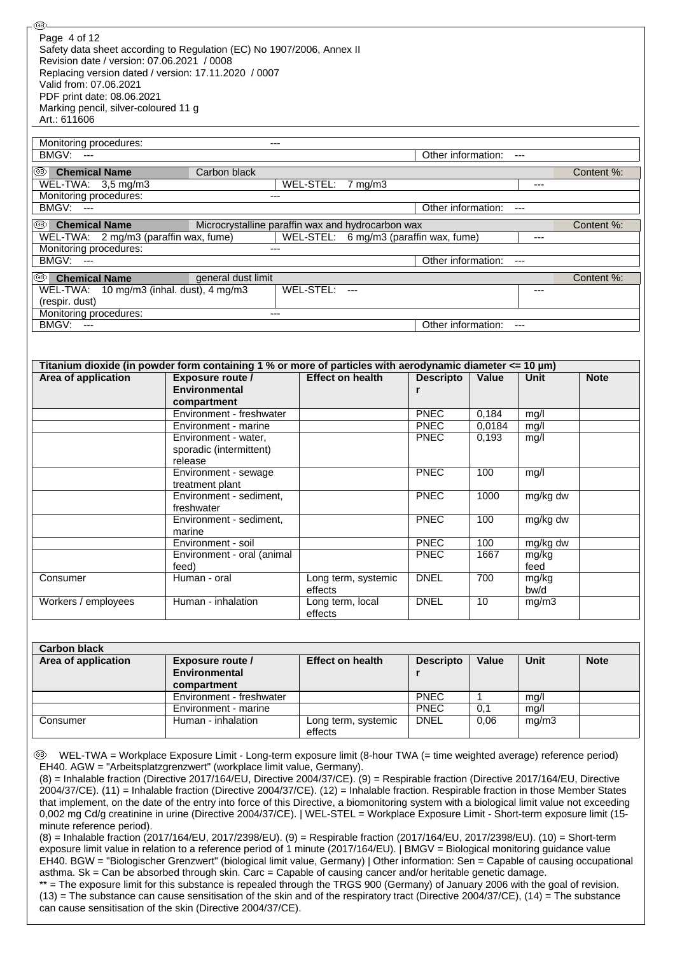| WEL-TWA: 3,5 mg/m3<br>Monitoring procedures:<br>BMGV:<br>$---$  | $---$                                                                                                                            | WEL-STEL:<br>$7 \text{ mg/m}$ 3                   | Other information:         |                 | $---$<br>$---$ |             |
|-----------------------------------------------------------------|----------------------------------------------------------------------------------------------------------------------------------|---------------------------------------------------|----------------------------|-----------------|----------------|-------------|
| (GB)  <br><b>Chemical Name</b>                                  |                                                                                                                                  | Microcrystalline paraffin wax and hydrocarbon wax |                            |                 |                | Content %:  |
| WEL-TWA: 2 mg/m3 (paraffin wax, fume)<br>Monitoring procedures: |                                                                                                                                  | WEL-STEL: 6 mg/m3 (paraffin wax, fume)            |                            |                 | ---            |             |
| BMGV:<br>$\overline{\phantom{a}}$                               |                                                                                                                                  |                                                   | Other information:         |                 | $---$          |             |
| ©®<br><b>Chemical Name</b>                                      | general dust limit                                                                                                               |                                                   |                            |                 |                | Content %:  |
| WEL-TWA: 10 mg/m3 (inhal. dust), 4 mg/m3<br>(respir. dust)      |                                                                                                                                  | WEL-STEL: ---                                     |                            |                 | ---            |             |
| Monitoring procedures:                                          | $\overline{a}$                                                                                                                   |                                                   |                            |                 |                |             |
| BMGV: ---                                                       |                                                                                                                                  |                                                   | Other information:         |                 | $---$          |             |
|                                                                 |                                                                                                                                  |                                                   |                            |                 |                |             |
| Area of application                                             | Titanium dioxide (in powder form containing 1 % or more of particles with aerodynamic diameter $\lt=$ 10 µm)<br>Exposure route / | <b>Effect on health</b>                           | <b>Descripto</b>           | <b>Value</b>    | <b>Unit</b>    | <b>Note</b> |
|                                                                 | <b>Environmental</b>                                                                                                             |                                                   | r                          |                 |                |             |
|                                                                 | compartment                                                                                                                      |                                                   |                            |                 |                |             |
|                                                                 | Environment - freshwater<br>Environment - marine                                                                                 |                                                   | <b>PNEC</b><br><b>PNEC</b> | 0,184<br>0,0184 | mg/l<br>mg/l   |             |
|                                                                 | Environment - water,                                                                                                             |                                                   | <b>PNEC</b>                | 0,193           | mg/l           |             |
|                                                                 | sporadic (intermittent)<br>release                                                                                               |                                                   |                            |                 |                |             |
|                                                                 | Environment - sewage<br>treatment plant                                                                                          |                                                   | <b>PNEC</b>                | 100             | mg/l           |             |
|                                                                 | Environment - sediment,                                                                                                          |                                                   | <b>PNEC</b>                | 1000            | mg/kg dw       |             |
|                                                                 | freshwater                                                                                                                       |                                                   |                            |                 |                |             |
|                                                                 | Environment - sediment,                                                                                                          |                                                   | <b>PNEC</b>                | 100             | mg/kg dw       |             |
|                                                                 | marine<br>Environment - soil                                                                                                     |                                                   | <b>PNEC</b>                | 100             | mg/kg dw       |             |
|                                                                 | Environment - oral (animal                                                                                                       |                                                   | <b>PNEC</b>                | 1667            | mg/kg          |             |
|                                                                 | feed)                                                                                                                            |                                                   |                            |                 | feed           |             |
| Consumer                                                        | Human - oral                                                                                                                     | Long term, systemic<br>effects                    | <b>DNEL</b>                | 700             | mg/kg<br>bw/d  |             |
|                                                                 | Human - inhalation                                                                                                               | Long term, local<br>effects                       | <b>DNEL</b>                | 10              | mg/m3          |             |
|                                                                 |                                                                                                                                  |                                                   |                            |                 |                |             |
| Workers / employees                                             |                                                                                                                                  |                                                   |                            |                 |                |             |
|                                                                 |                                                                                                                                  |                                                   |                            |                 |                |             |
|                                                                 | <b>Exposure route /</b><br><b>Environmental</b>                                                                                  | <b>Effect on health</b>                           | <b>Descripto</b><br>r      | Value           | <b>Unit</b>    | <b>Note</b> |
|                                                                 | compartment<br>Environment - freshwater                                                                                          |                                                   | <b>PNEC</b>                | 1               | mq/l           |             |
| <b>Carbon black</b><br>Area of application<br>Consumer          | Environment - marine<br>Human - inhalation                                                                                       | Long term, systemic                               | <b>PNEC</b><br><b>DNEL</b> | 0,1<br>0,06     | mg/l<br>mg/m3  |             |

minute reference period). (8) = Inhalable fraction (2017/164/EU, 2017/2398/EU). (9) = Respirable fraction (2017/164/EU, 2017/2398/EU). (10) = Short-term exposure limit value in relation to a reference period of 1 minute (2017/164/EU). | BMGV = Biological monitoring guidance value

EH40. BGW = "Biologischer Grenzwert" (biological limit value, Germany) | Other information: Sen = Capable of causing occupational asthma. Sk = Can be absorbed through skin. Carc = Capable of causing cancer and/or heritable genetic damage.

\*\* = The exposure limit for this substance is repealed through the TRGS 900 (Germany) of January 2006 with the goal of revision.  $(13)$  = The substance can cause sensitisation of the skin and of the respiratory tract (Directive 2004/37/CE),  $(14)$  = The substance can cause sensitisation of the skin (Directive 2004/37/CE).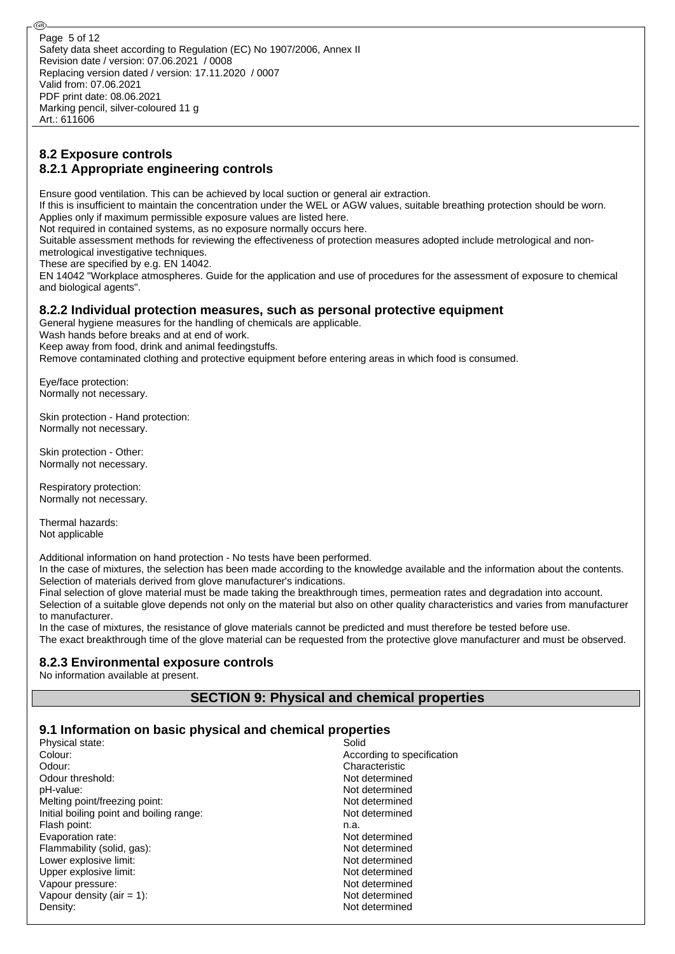## **8.2 Exposure controls 8.2.1 Appropriate engineering controls**

Ensure good ventilation. This can be achieved by local suction or general air extraction.

If this is insufficient to maintain the concentration under the WEL or AGW values, suitable breathing protection should be worn. Applies only if maximum permissible exposure values are listed here.

Not required in contained systems, as no exposure normally occurs here.

Suitable assessment methods for reviewing the effectiveness of protection measures adopted include metrological and non-

metrological investigative techniques.

These are specified by e.g. EN 14042.

EN 14042 "Workplace atmospheres. Guide for the application and use of procedures for the assessment of exposure to chemical and biological agents".

### **8.2.2 Individual protection measures, such as personal protective equipment**

General hygiene measures for the handling of chemicals are applicable.

Wash hands before breaks and at end of work.

Keep away from food, drink and animal feedingstuffs.

Remove contaminated clothing and protective equipment before entering areas in which food is consumed.

Eye/face protection: Normally not necessary.

Skin protection - Hand protection: Normally not necessary.

Skin protection - Other: Normally not necessary.

Respiratory protection: Normally not necessary.

Thermal hazards: Not applicable

Additional information on hand protection - No tests have been performed.

In the case of mixtures, the selection has been made according to the knowledge available and the information about the contents. Selection of materials derived from glove manufacturer's indications.

Final selection of glove material must be made taking the breakthrough times, permeation rates and degradation into account. Selection of a suitable glove depends not only on the material but also on other quality characteristics and varies from manufacturer to manufacturer.

In the case of mixtures, the resistance of glove materials cannot be predicted and must therefore be tested before use. The exact breakthrough time of the glove material can be requested from the protective glove manufacturer and must be observed.

## **8.2.3 Environmental exposure controls**

No information available at present.

## **SECTION 9: Physical and chemical properties**

## **9.1 Information on basic physical and chemical properties**

| Physical state:                          | Solid                      |
|------------------------------------------|----------------------------|
| Colour:                                  | According to specification |
| Odour:                                   | Characteristic             |
| Odour threshold:                         | Not determined             |
| pH-value:                                | Not determined             |
| Melting point/freezing point:            | Not determined             |
| Initial boiling point and boiling range: | Not determined             |
| Flash point:                             | n.a.                       |
| Evaporation rate:                        | Not determined             |
| Flammability (solid, gas):               | Not determined             |
| Lower explosive limit:                   | Not determined             |
| Upper explosive limit:                   | Not determined             |
| Vapour pressure:                         | Not determined             |
| Vapour density (air = 1):                | Not determined             |
| Density:                                 | Not determined             |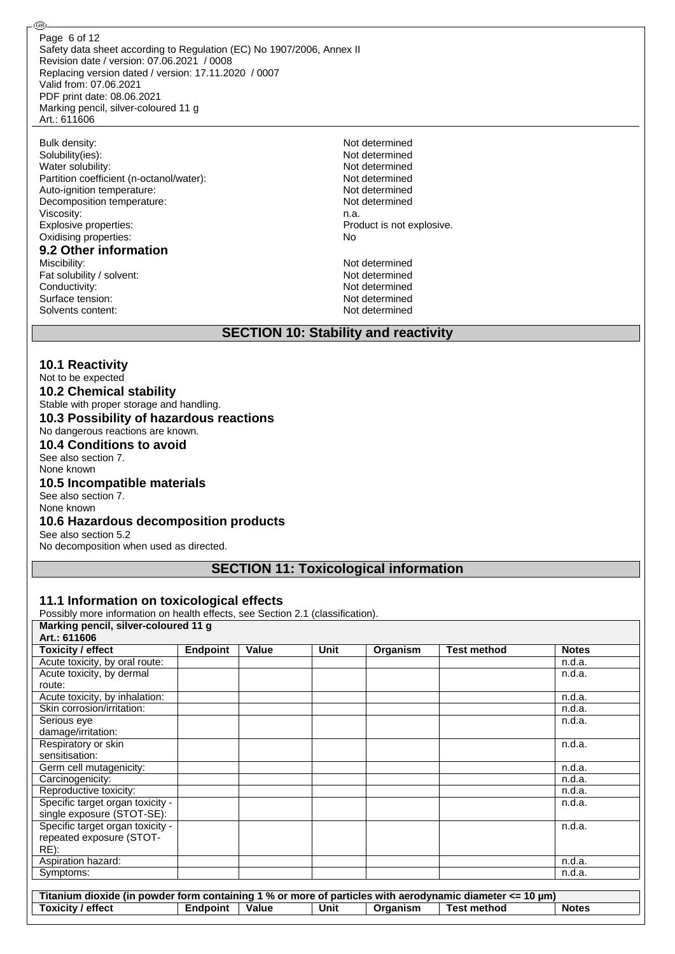Safety data sheet according to Regulation (EC) No 1907/2006, Annex II Revision date / version: 07.06.2021 / 0008 Replacing version dated / version: 17.11.2020 / 0007 Valid from: 07.06.2021 PDF print date: 08.06.2021 Marking pencil, silver-coloured 11 g Art.: 611606 Page 6 of 12

| Solubility(ies):<br>Not determined<br>Water solubility:<br>Not determined<br>Partition coefficient (n-octanol/water):<br>Not determined<br>Auto-ignition temperature:<br>Not determined<br>Decomposition temperature:<br>Not determined<br>Viscosity:<br>n.a.<br>Explosive properties:<br>Oxidising properties:<br>No<br>9.2 Other information<br>Not determined<br>Miscibility:<br>Fat solubility / solvent:<br>Not determined<br>Conductivity:<br>Not determined | Bulk density:    | Not determined            |  |  |
|--------------------------------------------------------------------------------------------------------------------------------------------------------------------------------------------------------------------------------------------------------------------------------------------------------------------------------------------------------------------------------------------------------------------------------------------------------------------|------------------|---------------------------|--|--|
|                                                                                                                                                                                                                                                                                                                                                                                                                                                                    |                  |                           |  |  |
|                                                                                                                                                                                                                                                                                                                                                                                                                                                                    |                  |                           |  |  |
|                                                                                                                                                                                                                                                                                                                                                                                                                                                                    |                  |                           |  |  |
|                                                                                                                                                                                                                                                                                                                                                                                                                                                                    |                  |                           |  |  |
|                                                                                                                                                                                                                                                                                                                                                                                                                                                                    |                  |                           |  |  |
|                                                                                                                                                                                                                                                                                                                                                                                                                                                                    |                  |                           |  |  |
|                                                                                                                                                                                                                                                                                                                                                                                                                                                                    |                  | Product is not explosive. |  |  |
|                                                                                                                                                                                                                                                                                                                                                                                                                                                                    |                  |                           |  |  |
|                                                                                                                                                                                                                                                                                                                                                                                                                                                                    |                  |                           |  |  |
|                                                                                                                                                                                                                                                                                                                                                                                                                                                                    |                  |                           |  |  |
|                                                                                                                                                                                                                                                                                                                                                                                                                                                                    |                  |                           |  |  |
|                                                                                                                                                                                                                                                                                                                                                                                                                                                                    |                  |                           |  |  |
|                                                                                                                                                                                                                                                                                                                                                                                                                                                                    | Surface tension: | Not determined            |  |  |
| Not determined<br>Solvents content:                                                                                                                                                                                                                                                                                                                                                                                                                                |                  |                           |  |  |

### **SECTION 10: Stability and reactivity**

## **10.1 Reactivity**

@

## Not to be expected

**10.2 Chemical stability**

Stable with proper storage and handling.

# **10.3 Possibility of hazardous reactions**

No dangerous reactions are known.

**10.4 Conditions to avoid** See also section 7.

None known

#### **10.5 Incompatible materials**

See also section 7. None known

## **10.6 Hazardous decomposition products**

See also section 5.2

No decomposition when used as directed.

## **SECTION 11: Toxicological information**

#### **11.1 Information on toxicological effects**

Possibly more information on health effects, see Section 2.1 (classification).

| Marking pencil, silver-coloured 11 g                                                                     |                 |       |             |          |                    |              |
|----------------------------------------------------------------------------------------------------------|-----------------|-------|-------------|----------|--------------------|--------------|
| Art.: 611606                                                                                             |                 |       |             |          |                    |              |
| <b>Toxicity / effect</b>                                                                                 | <b>Endpoint</b> | Value | <b>Unit</b> | Organism | <b>Test method</b> | <b>Notes</b> |
| Acute toxicity, by oral route:                                                                           |                 |       |             |          |                    | n.d.a.       |
| Acute toxicity, by dermal                                                                                |                 |       |             |          |                    | n.d.a.       |
| route:                                                                                                   |                 |       |             |          |                    |              |
| Acute toxicity, by inhalation:                                                                           |                 |       |             |          |                    | n.d.a.       |
| Skin corrosion/irritation:                                                                               |                 |       |             |          |                    | n.d.a.       |
| Serious eye                                                                                              |                 |       |             |          |                    | n.d.a.       |
| damage/irritation:                                                                                       |                 |       |             |          |                    |              |
| Respiratory or skin                                                                                      |                 |       |             |          |                    | n.d.a.       |
| sensitisation:                                                                                           |                 |       |             |          |                    |              |
| Germ cell mutagenicity:                                                                                  |                 |       |             |          |                    | n.d.a.       |
| Carcinogenicity:                                                                                         |                 |       |             |          |                    | n.d.a.       |
| Reproductive toxicity:                                                                                   |                 |       |             |          |                    | n.d.a.       |
| Specific target organ toxicity -                                                                         |                 |       |             |          |                    | n.d.a.       |
| single exposure (STOT-SE):                                                                               |                 |       |             |          |                    |              |
| Specific target organ toxicity -                                                                         |                 |       |             |          |                    | n.d.a.       |
| repeated exposure (STOT-                                                                                 |                 |       |             |          |                    |              |
| $RE)$ :                                                                                                  |                 |       |             |          |                    |              |
| Aspiration hazard:                                                                                       |                 |       |             |          |                    | n.d.a.       |
| Symptoms:                                                                                                |                 |       |             |          |                    | n.d.a.       |
|                                                                                                          |                 |       |             |          |                    |              |
| Titanium dioxide (in powder form containing 1 % or more of particles with aerodynamic diameter <= 10 µm) |                 |       |             |          |                    |              |
| Toxicity / effect                                                                                        | Endpoint        | Value | Unit        | Organism | <b>Test method</b> | <b>Notes</b> |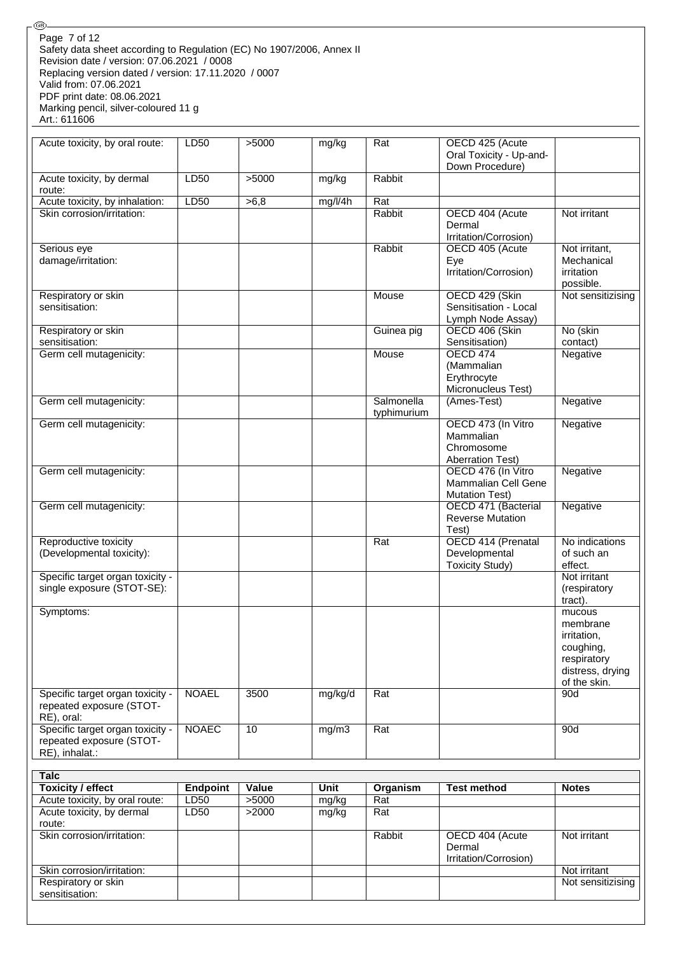Safety data sheet according to Regulation (EC) No 1907/2006, Annex II Revision date / version: 07.06.2021 / 0008 Replacing version dated / version: 17.11.2020 / 0007 Valid from: 07.06.2021 PDF print date: 08.06.2021 Marking pencil, silver-coloured 11 g Art.: 611606 Page 7 of 12

.®

| Specific target organ toxicity -<br>repeated exposure (STOT-<br>RE), oral:<br>Specific target organ toxicity -<br>repeated exposure (STOT-<br>RE), inhalat.:<br><b>Talc</b> | <b>NOAEL</b><br><b>NOAEC</b> | 3500<br>10 | mg/kg/d<br>mg/m3 | Rat<br>Rat  |                                                | respiratory<br>distress, drying<br>of the skin.<br>90d<br>90d |
|-----------------------------------------------------------------------------------------------------------------------------------------------------------------------------|------------------------------|------------|------------------|-------------|------------------------------------------------|---------------------------------------------------------------|
|                                                                                                                                                                             |                              |            |                  |             |                                                |                                                               |
|                                                                                                                                                                             |                              |            |                  |             |                                                |                                                               |
|                                                                                                                                                                             |                              |            |                  |             |                                                |                                                               |
|                                                                                                                                                                             |                              |            |                  |             |                                                |                                                               |
|                                                                                                                                                                             |                              |            |                  |             |                                                |                                                               |
|                                                                                                                                                                             |                              |            |                  |             |                                                |                                                               |
|                                                                                                                                                                             |                              |            |                  |             |                                                |                                                               |
|                                                                                                                                                                             |                              |            |                  |             |                                                | coughing,                                                     |
|                                                                                                                                                                             |                              |            |                  |             |                                                | irritation,                                                   |
|                                                                                                                                                                             |                              |            |                  |             |                                                | membrane                                                      |
| Symptoms:                                                                                                                                                                   |                              |            |                  |             |                                                | tract).<br>mucous                                             |
| single exposure (STOT-SE):                                                                                                                                                  |                              |            |                  |             |                                                | (respiratory                                                  |
| Specific target organ toxicity -                                                                                                                                            |                              |            |                  |             | <b>Toxicity Study)</b>                         | effect.<br>Not irritant                                       |
| (Developmental toxicity):                                                                                                                                                   |                              |            |                  |             | Developmental                                  | of such an                                                    |
| Reproductive toxicity                                                                                                                                                       |                              |            |                  | Rat         | OECD 414 (Prenatal                             | No indications                                                |
|                                                                                                                                                                             |                              |            |                  |             | Test)                                          |                                                               |
| Germ cell mutagenicity:                                                                                                                                                     |                              |            |                  |             | OECD 471 (Bacterial<br><b>Reverse Mutation</b> | Negative                                                      |
|                                                                                                                                                                             |                              |            |                  |             | <b>Mutation Test)</b>                          |                                                               |
|                                                                                                                                                                             |                              |            |                  |             | Mammalian Cell Gene                            |                                                               |
| Germ cell mutagenicity:                                                                                                                                                     |                              |            |                  |             | OECD 476 (In Vitro                             | Negative                                                      |
|                                                                                                                                                                             |                              |            |                  |             | <b>Aberration Test)</b>                        |                                                               |
|                                                                                                                                                                             |                              |            |                  |             | Chromosome                                     |                                                               |
|                                                                                                                                                                             |                              |            |                  |             | Mammalian                                      |                                                               |
| Germ cell mutagenicity:                                                                                                                                                     |                              |            |                  | typhimurium | OECD 473 (In Vitro                             | Negative                                                      |
| Germ cell mutagenicity:                                                                                                                                                     |                              |            |                  | Salmonella  | (Ames-Test)                                    | Negative                                                      |
|                                                                                                                                                                             |                              |            |                  |             | Micronucleus Test)                             |                                                               |
|                                                                                                                                                                             |                              |            |                  |             | Erythrocyte                                    |                                                               |
|                                                                                                                                                                             |                              |            |                  |             | (Mammalian                                     |                                                               |
| Germ cell mutagenicity:                                                                                                                                                     |                              |            |                  | Mouse       | <b>OECD 474</b>                                | Negative                                                      |
| Respiratory or skin<br>sensitisation:                                                                                                                                       |                              |            |                  | Guinea pig  | OECD 406 (Skin<br>Sensitisation)               | No (skin<br>contact)                                          |
|                                                                                                                                                                             |                              |            |                  |             | Lymph Node Assay)                              |                                                               |
| sensitisation:                                                                                                                                                              |                              |            |                  |             | Sensitisation - Local                          |                                                               |
| Respiratory or skin                                                                                                                                                         |                              |            |                  | Mouse       | OECD 429 (Skin                                 | Not sensitizising                                             |
|                                                                                                                                                                             |                              |            |                  |             |                                                | possible.                                                     |
|                                                                                                                                                                             |                              |            |                  |             | Eye<br>Irritation/Corrosion)                   | irritation                                                    |
| Serious eye<br>damage/irritation:                                                                                                                                           |                              |            |                  | Rabbit      | OECD 405 (Acute                                | Not irritant,<br>Mechanical                                   |
|                                                                                                                                                                             |                              |            |                  |             | Irritation/Corrosion)                          |                                                               |
|                                                                                                                                                                             |                              |            |                  |             | Dermal                                         |                                                               |
| Skin corrosion/irritation:                                                                                                                                                  |                              |            |                  | Rabbit      | OECD 404 (Acute                                | Not irritant                                                  |
| Acute toxicity, by inhalation:                                                                                                                                              | LD50                         | >6,8       | mg/l/4h          | Rat         |                                                |                                                               |
| route:                                                                                                                                                                      |                              |            |                  |             |                                                |                                                               |
| Acute toxicity, by dermal                                                                                                                                                   | LD50                         | >5000      | mg/kg            | Rabbit      | Down Procedure)                                |                                                               |
|                                                                                                                                                                             |                              |            |                  |             | Oral Toxicity - Up-and-                        |                                                               |
| Acute toxicity, by oral route:                                                                                                                                              | LD50                         | >5000      | mg/kg            | Rat         | OECD 425 (Acute                                |                                                               |

| <b>Toxicity / effect</b>       | <b>Endpoint</b>  | Value | Unit  | Organism | <b>Test method</b>    | <b>Notes</b>      |
|--------------------------------|------------------|-------|-------|----------|-----------------------|-------------------|
| Acute toxicity, by oral route: | LD <sub>50</sub> | >5000 | mg/kg | Rat      |                       |                   |
| Acute toxicity, by dermal      | LD50             | >2000 | mg/kg | Rat      |                       |                   |
| route:                         |                  |       |       |          |                       |                   |
| Skin corrosion/irritation:     |                  |       |       | Rabbit   | OECD 404 (Acute       | Not irritant      |
|                                |                  |       |       |          | Dermal                |                   |
|                                |                  |       |       |          | Irritation/Corrosion) |                   |
| Skin corrosion/irritation:     |                  |       |       |          |                       | Not irritant      |
| Respiratory or skin            |                  |       |       |          |                       | Not sensitizising |
| sensitisation:                 |                  |       |       |          |                       |                   |
|                                |                  |       |       |          |                       |                   |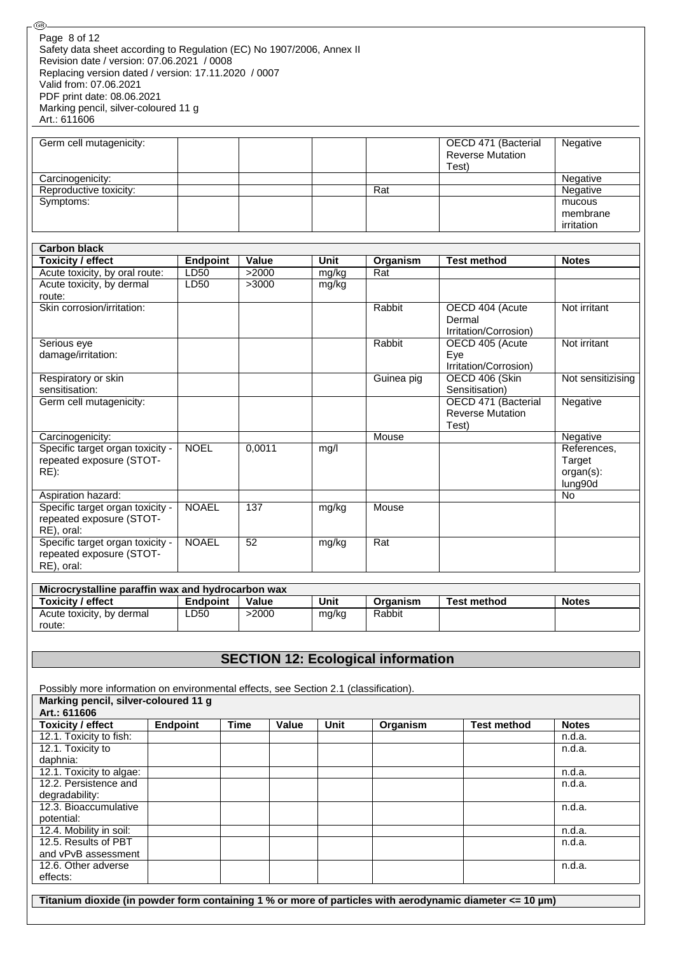| Page 8 of 12                                                          |  |
|-----------------------------------------------------------------------|--|
| Safety data sheet according to Regulation (EC) No 1907/2006, Annex II |  |
| Revision date / version: 07.06.2021 / 0008                            |  |
| Replacing version dated / version: 17.11.2020 / 0007                  |  |
| Valid from: 07.06.2021                                                |  |
| PDF print date: 08.06.2021                                            |  |
| Marking pencil, silver-coloured 11 g                                  |  |
| Art.: 611606                                                          |  |

⊛

| Germ cell mutagenicity: |     | OECD 471 (Bacterial     | Negative   |
|-------------------------|-----|-------------------------|------------|
|                         |     | <b>Reverse Mutation</b> |            |
|                         |     | Test)                   |            |
| Carcinogenicity:        |     |                         | Negative   |
| Reproductive toxicity:  | Rat |                         | Negative   |
| Symptoms:               |     |                         | mucous     |
|                         |     |                         | membrane   |
|                         |     |                         | irritation |

| <b>Carbon black</b>              |                 |        |       |            |                         |                   |
|----------------------------------|-----------------|--------|-------|------------|-------------------------|-------------------|
| <b>Toxicity / effect</b>         | <b>Endpoint</b> | Value  | Unit  | Organism   | <b>Test method</b>      | <b>Notes</b>      |
| Acute toxicity, by oral route:   | LD50            | >2000  | mg/kg | Rat        |                         |                   |
| Acute toxicity, by dermal        | LD50            | >3000  | mg/kg |            |                         |                   |
| route:                           |                 |        |       |            |                         |                   |
| Skin corrosion/irritation:       |                 |        |       | Rabbit     | OECD 404 (Acute         | Not irritant      |
|                                  |                 |        |       |            | Dermal                  |                   |
|                                  |                 |        |       |            | Irritation/Corrosion)   |                   |
| Serious eye                      |                 |        |       | Rabbit     | OECD 405 (Acute         | Not irritant      |
| damage/irritation:               |                 |        |       |            | Eye                     |                   |
|                                  |                 |        |       |            | Irritation/Corrosion)   |                   |
| Respiratory or skin              |                 |        |       | Guinea pig | OECD 406 (Skin          | Not sensitizising |
| sensitisation:                   |                 |        |       |            | Sensitisation)          |                   |
| Germ cell mutagenicity:          |                 |        |       |            | OECD 471 (Bacterial     | Negative          |
|                                  |                 |        |       |            | <b>Reverse Mutation</b> |                   |
|                                  |                 |        |       |            | Test)                   |                   |
| Carcinogenicity:                 |                 |        |       | Mouse      |                         | Negative          |
| Specific target organ toxicity - | <b>NOEL</b>     | 0,0011 | mg/l  |            |                         | References,       |
| repeated exposure (STOT-         |                 |        |       |            |                         | Target            |
| $RE)$ :                          |                 |        |       |            |                         | organ(s):         |
|                                  |                 |        |       |            |                         | lung90d           |
| Aspiration hazard:               |                 |        |       |            |                         | No                |
| Specific target organ toxicity - | <b>NOAEL</b>    | 137    | mg/kg | Mouse      |                         |                   |
| repeated exposure (STOT-         |                 |        |       |            |                         |                   |
| RE), oral:                       |                 |        |       |            |                         |                   |
| Specific target organ toxicity - | <b>NOAEL</b>    | 52     | mg/kg | Rat        |                         |                   |
| repeated exposure (STOT-         |                 |        |       |            |                         |                   |
| RE), oral:                       |                 |        |       |            |                         |                   |

| Microcrystalline paraffin wax and hydrocarbon wax |          |       |       |          |             |              |  |
|---------------------------------------------------|----------|-------|-------|----------|-------------|--------------|--|
| Toxicity / effect                                 | Endpoint | Value | Unit  | Organism | Test method | <b>Notes</b> |  |
| Acute toxicity, by dermal                         | ∟D50     | -2000 | mg/kg | Rabbit   |             |              |  |
| route:                                            |          |       |       |          |             |              |  |

## **SECTION 12: Ecological information**

Possibly more information on environmental effects, see Section 2.1 (classification). **Marking pencil, silver-coloured 11 g Art.: 611606 Toxicity / effect Endpoint Time Value Unit Organism Test method Notes** 12.1. Toxicity to fish: n.d.a. 12.1. Toxicity to daphnia: n.d.a. 12.1. Toxicity to algae: n.d.a. http://www.fileson.com/induction-services-of-community-community-community-community-community-community-community-community-community-community-community-community-community-community-commu 12.2. Persistence and degradability: n.d.a. 12.3. Bioaccumulative potential: n.d.a. 12.4. Mobility in soil: n.d.a. 12.5. Results of PBT and vPvB assessment n.d.a. 12.6. Other adverse effects: n.d.a.

**Titanium dioxide (in powder form containing 1 % or more of particles with aerodynamic diameter <= 10 µm)**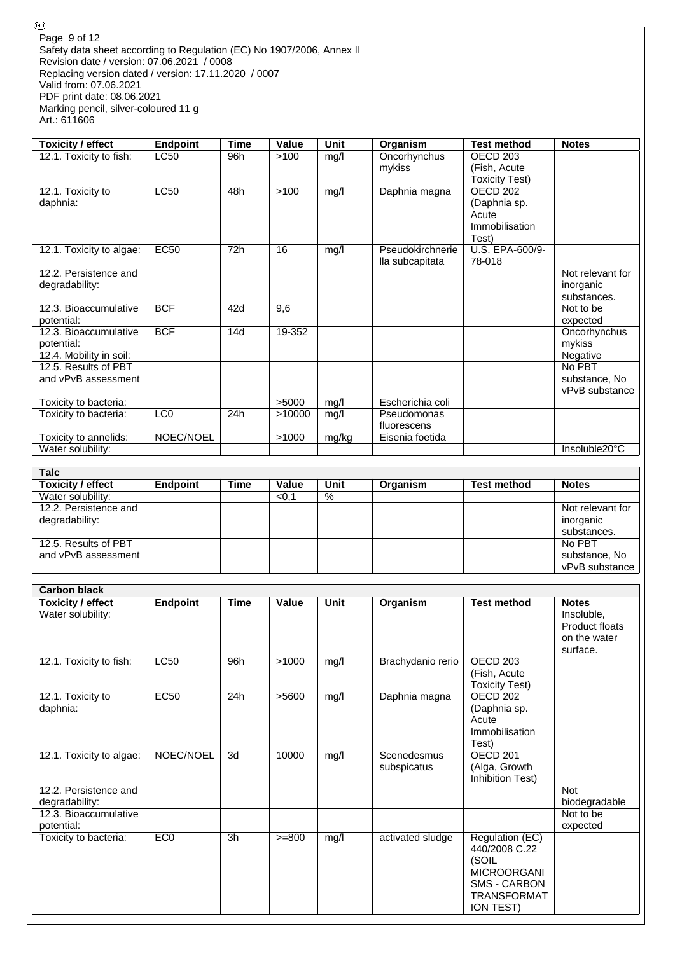Safety data sheet according to Regulation (EC) No 1907/2006, Annex II Revision date / version: 07.06.2021 / 0008 Replacing version dated / version: 17.11.2020 / 0007 Valid from: 07.06.2021 PDF print date: 08.06.2021 Marking pencil, silver-coloured 11 g Art.: 611606 Page 9 of 12

**Talc**<sup>2</sup>

.®

| Toxicity / effect        | <b>Endpoint</b> | <b>Time</b> | Value  | <b>Unit</b> | Organism         | <b>Test method</b>    | <b>Notes</b>     |
|--------------------------|-----------------|-------------|--------|-------------|------------------|-----------------------|------------------|
| 12.1. Toxicity to fish:  | LC50            | 96h         | >100   | mg/l        | Oncorhynchus     | OECD <sub>203</sub>   |                  |
|                          |                 |             |        |             | mykiss           | (Fish, Acute          |                  |
|                          |                 |             |        |             |                  | <b>Toxicity Test)</b> |                  |
| 12.1. Toxicity to        | LC50            | 48h         | >100   | mg/l        | Daphnia magna    | OECD <sub>202</sub>   |                  |
| daphnia:                 |                 |             |        |             |                  | (Daphnia sp.          |                  |
|                          |                 |             |        |             |                  | Acute                 |                  |
|                          |                 |             |        |             |                  | Immobilisation        |                  |
|                          |                 |             |        |             |                  | Test)                 |                  |
| 12.1. Toxicity to algae: | <b>EC50</b>     | 72h         | 16     | mg/l        | Pseudokirchnerie | U.S. EPA-600/9-       |                  |
|                          |                 |             |        |             | lla subcapitata  | 78-018                |                  |
| 12.2. Persistence and    |                 |             |        |             |                  |                       | Not relevant for |
| degradability:           |                 |             |        |             |                  |                       | inorganic        |
|                          |                 |             |        |             |                  |                       | substances.      |
| 12.3. Bioaccumulative    | <b>BCF</b>      | 42d         | 9,6    |             |                  |                       | Not to be        |
| potential:               |                 |             |        |             |                  |                       | expected         |
| 12.3. Bioaccumulative    | <b>BCF</b>      | 14d         | 19-352 |             |                  |                       | Oncorhynchus     |
| potential:               |                 |             |        |             |                  |                       | mykiss           |
| 12.4. Mobility in soil:  |                 |             |        |             |                  |                       | Negative         |
| 12.5. Results of PBT     |                 |             |        |             |                  |                       | No PBT           |
| and vPvB assessment      |                 |             |        |             |                  |                       | substance, No    |
|                          |                 |             |        |             |                  |                       | vPvB substance   |
| Toxicity to bacteria:    |                 |             | >5000  | mg/l        | Escherichia coli |                       |                  |
| Toxicity to bacteria:    | LC <sub>0</sub> | 24h         | >10000 | mg/l        | Pseudomonas      |                       |                  |
|                          |                 |             |        |             | fluorescens      |                       |                  |
| Toxicity to annelids:    | NOEC/NOEL       |             | >1000  | mg/kg       | Eisenia foetida  |                       |                  |
| Water solubility:        |                 |             |        |             |                  |                       | Insoluble20°C    |

| raic                     |          |      |       |      |          |                    |                  |
|--------------------------|----------|------|-------|------|----------|--------------------|------------------|
| <b>Toxicity / effect</b> | Endpoint | Time | Value | Unit | Organism | <b>Test method</b> | <b>Notes</b>     |
| Water solubility:        |          |      | < 0.1 | %    |          |                    |                  |
| 12.2. Persistence and    |          |      |       |      |          |                    | Not relevant for |
| degradability:           |          |      |       |      |          |                    | inorganic        |
|                          |          |      |       |      |          |                    | substances.      |
| 12.5. Results of PBT     |          |      |       |      |          |                    | No PBT           |
| and vPvB assessment      |          |      |       |      |          |                    | substance, No    |
|                          |          |      |       |      |          |                    | vPvB substance   |

| <b>Carbon black</b>                     |                 |             |          |      |                            |                                                                                                                                  |                                                          |
|-----------------------------------------|-----------------|-------------|----------|------|----------------------------|----------------------------------------------------------------------------------------------------------------------------------|----------------------------------------------------------|
| <b>Toxicity / effect</b>                | <b>Endpoint</b> | <b>Time</b> | Value    | Unit | Organism                   | <b>Test method</b>                                                                                                               | <b>Notes</b>                                             |
| Water solubility:                       |                 |             |          |      |                            |                                                                                                                                  | Insoluble,<br>Product floats<br>on the water<br>surface. |
| 12.1. Toxicity to fish:                 | LC50            | 96h         | >1000    | mg/l | Brachydanio rerio          | OECD 203<br>(Fish, Acute<br><b>Toxicity Test)</b>                                                                                |                                                          |
| 12.1. Toxicity to<br>daphnia:           | <b>EC50</b>     | 24h         | >5600    | mg/l | Daphnia magna              | <b>OECD 202</b><br>(Daphnia sp.<br>Acute<br>Immobilisation<br>Test)                                                              |                                                          |
| 12.1. Toxicity to algae:                | NOEC/NOEL       | 3d          | 10000    | mg/l | Scenedesmus<br>subspicatus | OECD <sub>201</sub><br>(Alga, Growth<br>Inhibition Test)                                                                         |                                                          |
| 12.2. Persistence and<br>degradability: |                 |             |          |      |                            |                                                                                                                                  | <b>Not</b><br>biodegradable                              |
| 12.3. Bioaccumulative<br>potential:     |                 |             |          |      |                            |                                                                                                                                  | Not to be<br>expected                                    |
| Toxicity to bacteria:                   | ECO             | 3h          | $>= 800$ | mg/l | activated sludge           | Regulation (EC)<br>440/2008 C.22<br>(SOIL<br><b>MICROORGANI</b><br><b>SMS - CARBON</b><br><b>TRANSFORMAT</b><br><b>ION TEST)</b> |                                                          |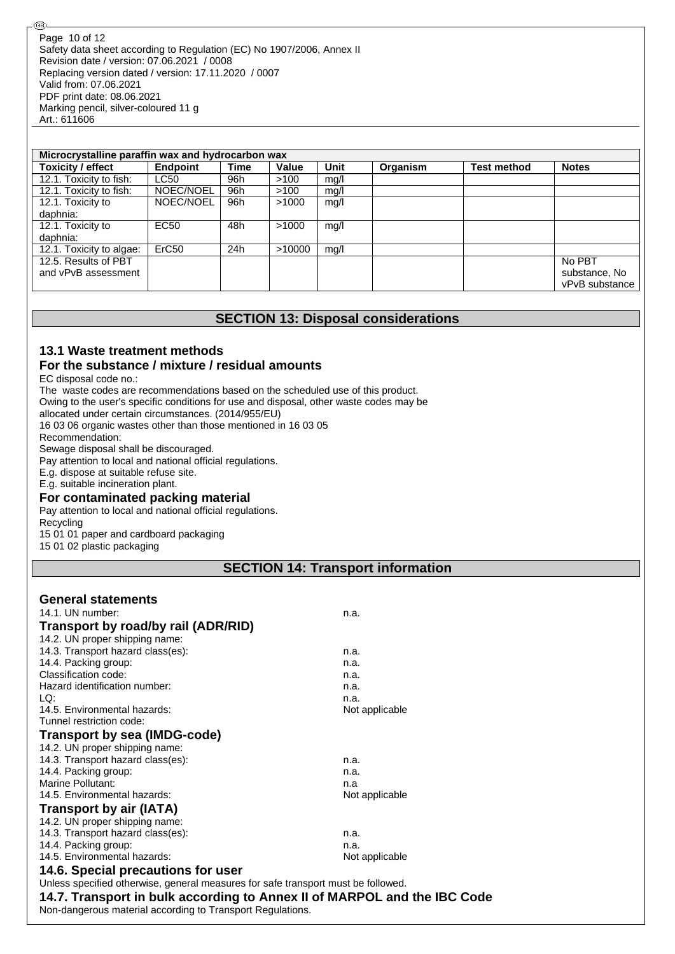| Microcrystalline paraffin wax and hydrocarbon wax |                   |      |        |      |          |                    |                |
|---------------------------------------------------|-------------------|------|--------|------|----------|--------------------|----------------|
| <b>Toxicity / effect</b>                          | Endpoint          | Time | Value  | Unit | Organism | <b>Test method</b> | <b>Notes</b>   |
| 12.1. Toxicity to fish:                           | <b>LC50</b>       | 96h  | >100   | mq/l |          |                    |                |
| 12.1. Toxicity to fish:                           | NOEC/NOEL         | 96h  | >100   | mg/l |          |                    |                |
| 12.1. Toxicity to                                 | NOEC/NOEL         | 96h  | >1000  | mq/l |          |                    |                |
| daphnia:                                          |                   |      |        |      |          |                    |                |
| 12.1. Toxicity to                                 | <b>EC50</b>       | 48h  | >1000  | mg/l |          |                    |                |
| daphnia:                                          |                   |      |        |      |          |                    |                |
| 12.1. Toxicity to algae:                          | ErC <sub>50</sub> | 24h  | >10000 | mq/l |          |                    |                |
| 12.5. Results of PBT                              |                   |      |        |      |          |                    | No PBT         |
| and vPvB assessment                               |                   |      |        |      |          |                    | substance, No  |
|                                                   |                   |      |        |      |          |                    | vPvB substance |

## **SECTION 13: Disposal considerations**

#### **13.1 Waste treatment methods For the substance / mixture / residual amounts**

EC disposal code no.:

@

The waste codes are recommendations based on the scheduled use of this product.

Owing to the user's specific conditions for use and disposal, other waste codes may be

allocated under certain circumstances. (2014/955/EU)

16 03 06 organic wastes other than those mentioned in 16 03 05

Recommendation:

Sewage disposal shall be discouraged.

Pay attention to local and national official regulations.

E.g. dispose at suitable refuse site.

E.g. suitable incineration plant.

## **For contaminated packing material**

Pay attention to local and national official regulations.

Recycling

15 01 01 paper and cardboard packaging

15 01 02 plastic packaging

## **SECTION 14: Transport information**

| <b>General statements</b>                                                         |                |
|-----------------------------------------------------------------------------------|----------------|
| 14.1. UN number:                                                                  | n.a.           |
| Transport by road/by rail (ADR/RID)                                               |                |
| 14.2. UN proper shipping name:                                                    |                |
| 14.3. Transport hazard class(es):                                                 | n.a.           |
| 14.4. Packing group:                                                              | n.a.           |
| Classification code:                                                              | n.a.           |
| Hazard identification number:                                                     | n.a.           |
| LO:                                                                               | n.a.           |
| 14.5. Environmental hazards:                                                      | Not applicable |
| Tunnel restriction code:                                                          |                |
| Transport by sea (IMDG-code)                                                      |                |
| 14.2. UN proper shipping name:                                                    |                |
| 14.3. Transport hazard class(es):                                                 | n.a.           |
| 14.4. Packing group:                                                              | n.a.           |
| Marine Pollutant:                                                                 | n.a            |
| 14.5. Environmental hazards:                                                      | Not applicable |
| <b>Transport by air (IATA)</b>                                                    |                |
| 14.2. UN proper shipping name:                                                    |                |
| 14.3. Transport hazard class(es):                                                 | n.a.           |
| 14.4. Packing group:                                                              | n.a.           |
| 14.5. Environmental hazards:                                                      | Not applicable |
| 14.6. Special precautions for user                                                |                |
| Unless specified otherwise, general measures for safe transport must be followed. |                |
| 14.7. Transport in bulk according to Annex II of MARPOL and the IBC Code          |                |
| Non-dangerous material according to Transport Regulations.                        |                |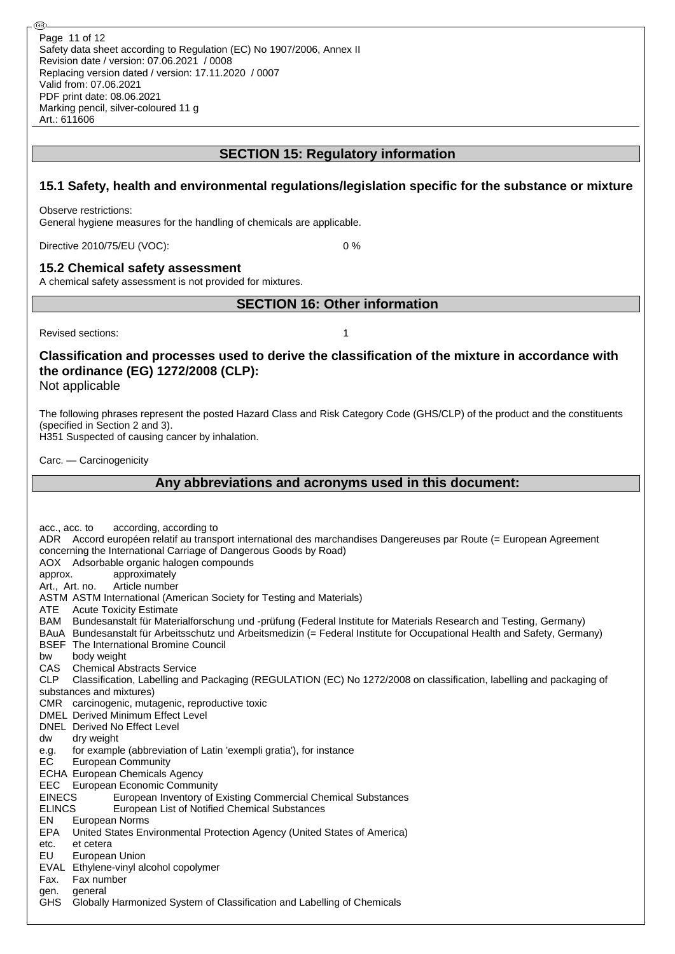## **SECTION 15: Regulatory information**

## **15.1 Safety, health and environmental regulations/legislation specific for the substance or mixture**

Observe restrictions:

General hygiene measures for the handling of chemicals are applicable.

Directive 2010/75/EU (VOC): 0 %

### **15.2 Chemical safety assessment**

A chemical safety assessment is not provided for mixtures.

**SECTION 16: Other information**

Revised sections: 1

**Classification and processes used to derive the classification of the mixture in accordance with the ordinance (EG) 1272/2008 (CLP):**

Not applicable

The following phrases represent the posted Hazard Class and Risk Category Code (GHS/CLP) of the product and the constituents (specified in Section 2 and 3).

H351 Suspected of causing cancer by inhalation.

Carc. — Carcinogenicity

## **Any abbreviations and acronyms used in this document:**

acc., acc. to according, according to ADR Accord européen relatif au transport international des marchandises Dangereuses par Route (= European Agreement concerning the International Carriage of Dangerous Goods by Road) AOX Adsorbable organic halogen compounds approx. approximately Art., Art. no. Article number ASTM ASTM International (American Society for Testing and Materials) ATE Acute Toxicity Estimate BAM Bundesanstalt für Materialforschung und -prüfung (Federal Institute for Materials Research and Testing, Germany) BAuA Bundesanstalt für Arbeitsschutz und Arbeitsmedizin (= Federal Institute for Occupational Health and Safety, Germany) BSEF The International Bromine Council bw body weight CAS Chemical Abstracts Service CLP Classification, Labelling and Packaging (REGULATION (EC) No 1272/2008 on classification, labelling and packaging of substances and mixtures) CMR carcinogenic, mutagenic, reproductive toxic DMEL Derived Minimum Effect Level DNEL Derived No Effect Level dw dry weight e.g. for example (abbreviation of Latin 'exempli gratia'), for instance EC European Community ECHA European Chemicals Agency EEC European Economic Community EINECS European Inventory of Existing Commercial Chemical Substances ELINCS European List of Notified Chemical Substances EN European Norms EPA United States Environmental Protection Agency (United States of America) etc. et cetera EU European Union EVAL Ethylene-vinyl alcohol copolymer Fax. Fax number gen. general GHS Globally Harmonized System of Classification and Labelling of Chemicals